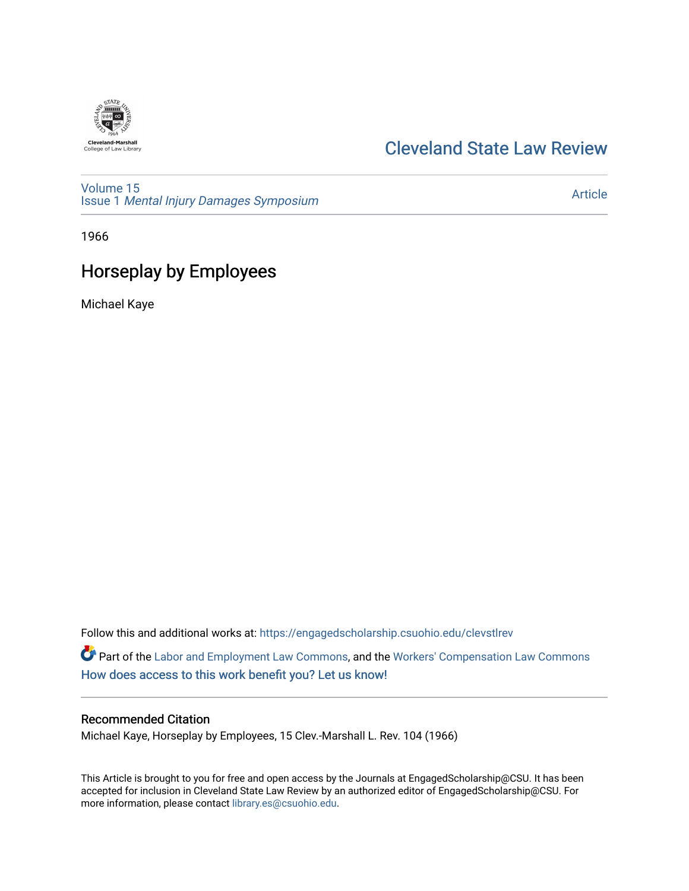

## [Cleveland State Law Review](https://engagedscholarship.csuohio.edu/clevstlrev)

[Volume 15](https://engagedscholarship.csuohio.edu/clevstlrev/vol15) Issue 1 [Mental Injury Damages Symposium](https://engagedscholarship.csuohio.edu/clevstlrev/vol15/iss1) 

[Article](https://engagedscholarship.csuohio.edu/clevstlrev/vol15/iss1/12) 

1966

# Horseplay by Employees

Michael Kaye

Follow this and additional works at: [https://engagedscholarship.csuohio.edu/clevstlrev](https://engagedscholarship.csuohio.edu/clevstlrev?utm_source=engagedscholarship.csuohio.edu%2Fclevstlrev%2Fvol15%2Fiss1%2F12&utm_medium=PDF&utm_campaign=PDFCoverPages)

Part of the [Labor and Employment Law Commons](http://network.bepress.com/hgg/discipline/909?utm_source=engagedscholarship.csuohio.edu%2Fclevstlrev%2Fvol15%2Fiss1%2F12&utm_medium=PDF&utm_campaign=PDFCoverPages), and the Workers' Compensation Law Commons [How does access to this work benefit you? Let us know!](http://library.csuohio.edu/engaged/)

### Recommended Citation

Michael Kaye, Horseplay by Employees, 15 Clev.-Marshall L. Rev. 104 (1966)

This Article is brought to you for free and open access by the Journals at EngagedScholarship@CSU. It has been accepted for inclusion in Cleveland State Law Review by an authorized editor of EngagedScholarship@CSU. For more information, please contact [library.es@csuohio.edu](mailto:library.es@csuohio.edu).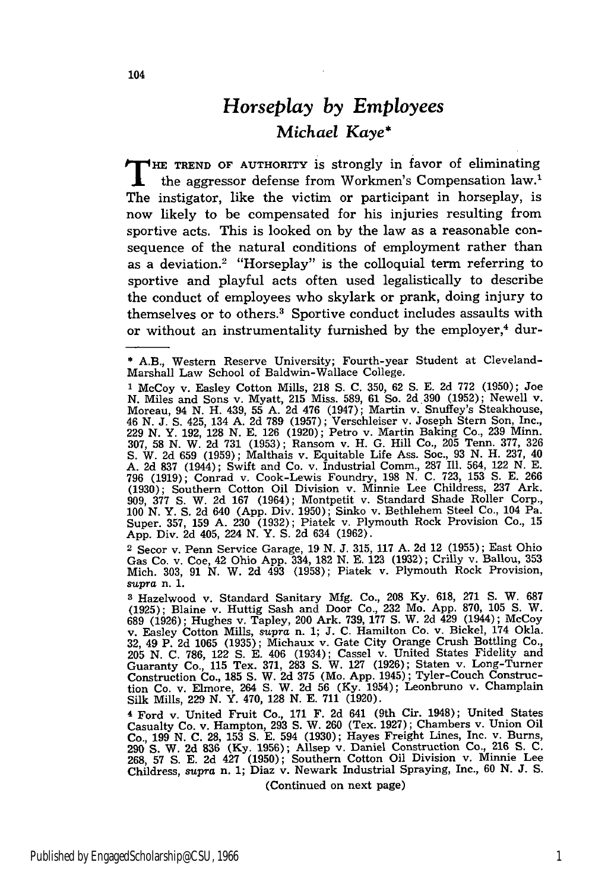## *Horseplay by Employees Michael Kaye\**

THE TREND OF AUTHORITY is strongly in favor of eliminating the aggressor defense from Workmen's Compensation law.1 The instigator, like the victim or participant in horseplay, is now likely to be compensated for his injuries resulting from sportive acts. This is looked on **by** the law as a reasonable consequence of the natural conditions of employment rather than as a deviation.<sup>2</sup> "Horseplay" is the colloquial term referring to sportive and playful acts often used legalistically to describe the conduct of employees who skylark or prank, doing injury to themselves or to others.<sup>3</sup> Sportive conduct includes assaults with or without an instrumentality furnished by the employer,<sup>4</sup> dur-

2 Secor v. Penn Service Garage, 19 N. J. 315, 117 A. 2d 12 (1955); East Ohio Gas Co. v. Coe, 42 Ohio App. 334, **182 N.** E. **123 (1932);** Crilly v. Ballou, **353** Mich. 303, 91 N. W. 2d 493 (1958); Piatek v. Plymouth Rock Provision *supra* n. *1.*

**3** Hazelwood v. Standard Sanitary Mfg. Co., 208 Ky. 618, 271 **S.** W. 687 (1925); Blaine v. Huttig Sash and Door Co., 232 Mo. App. 870, 105 **S.** W. 689 (1926); Hughes v. Tapley, 200 Ark. 739, 177 **S.** W. 2d 429 (1944); McCoy v. Easley Cotton Mills, *supra* n. 1; J. C. Hamilton Co. v. Bickel, 174 Okla. 32, 49 P. 2d 1065 (1935); Michaux v. Gate City Orange Crush Bottling Co., 205 N. C. 786, 122 **S.** E. 406 (1934); Cassel v. United States Fidelity and Guaranty Co., 115 Tex. 371, 283 **S.** W. 127 (1926); Staten v. Long-Turner Construction Co., 185 **S.** W. 2d 375 (Mo. App. 1945); Tyler-Couch Construction Co. v. Elmore, 264 **S.** W. 2d 56 (Ky. 1954); Leonbruno v. Champlain Silk Mills, 229 N. Y. 470, 128 N. E. 711 (1920).

**<sup>4</sup>**Ford v. United Fruit Co., 171 F. 2d 641 (9th Cir. 1948); United States Casualty Co. v. Hampton, 293 **S.** W. 260 (Tex. 1927); Chambers v. Union Oil Co., 199 N. C. 28, 153 **S.** E. 594 (1930); Hayes Freight Lines, Inc. v. Burns, 290 **S.** W. 2d **836** (Ky. 1956); Allsep v. Daniel Construction Co., 216 S. C. 268, 57 **S.** E. 2d 427 (1950); Southern Cotton Oil Division v. Minnie Lee Childress, supra n. 1; Diaz v. Newark Industrial Spraying, Inc., 60 N. J. S.

(Continued on next page)

<sup>\*</sup> A.B., Western Reserve University; Fourth-year Student at Cleveland-Marshall Law School of Baldwin-Wallace College.

**<sup>1</sup>** McCoy v. Easley Cotton Mills, 218 **S.** C. 350, 62 **S.** E. 2d 772 (1950); Joe N. Miles and Sons v. Myatt, 215 Miss. **589,** 61 So. 2d.390 (1952); Newell v. Moreau, 94 N. H. 439, 55 A. 2d 476 (1947); Martin v. Snuffey's Steakhouse, 46 N. J. **S.** 425, 134 A. 2d 789 (1957); Verschleiser v. Joseph Stern Son, Inc., 229 N. Y. 192, 128 N. E. 126 (1920); Petro v. Martin Baking Co., 239 Minn. 307, **58** N. W. 2d 731 (1953); Ransom v. H. G. Hill Co., 205 Tenn. 377, 326 S. W. 2d 659 (1959); Malthais v. Equitable Life Ass. Soc., 93 N. H. 237, 40 **A.** 2d 837 (1944); Swift and Co. v. Industrial Comm., 287 Ill. 564, 122 **N.** E. 796 (1919); Conrad v. Cook-Lewis Foundry, 198 N. C. 723, 153 **S.** E. 266 (1930); Southern Cotton Oil Division v. Minnie Lee Childress, 237 Ark. 909, 377 **S.** W. 2d 167 (1964); Montpetit v. Standard Shade Roller Corp., 100 N. Y. S. 2d 640 (App. Div. 1950); Sinko v. Bethlehem Steel Co., 104 Pa. Super. 357, 159 A. 230 (1932); Piatek v. Plymouth Rock Provision Co., 15 App. Div. 2d 405, 224 N. Y. S. 2d 634 (1962).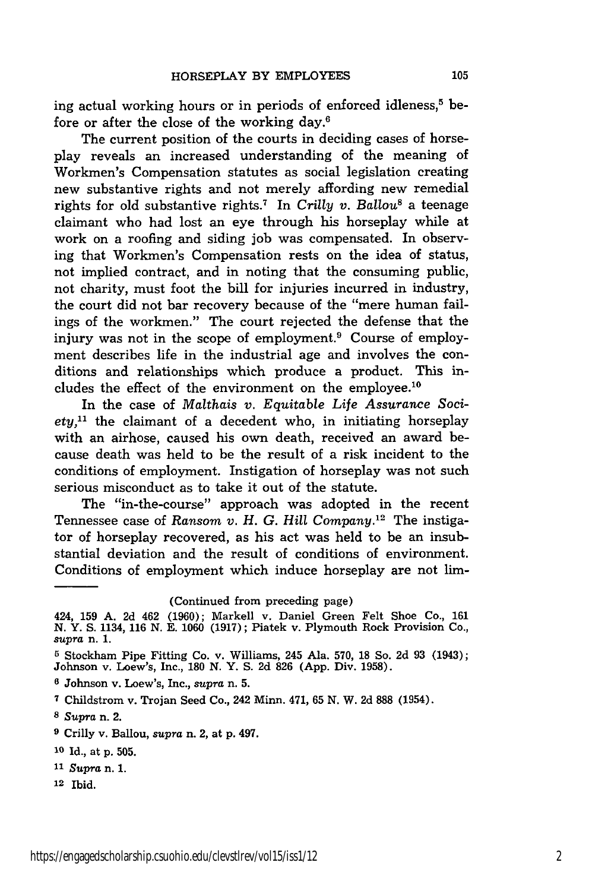ing actual working hours or in periods of enforced idleness,<sup>5</sup> before or after the close of the working day.6

The current position of the courts in deciding cases of horseplay reveals an increased understanding of the meaning of Workmen's Compensation statutes as social legislation creating new substantive rights and not merely affording new remedial rights for old substantive rights. 7 In *Crilly v. Ballou8* a teenage claimant who had lost an eye through his horseplay while at work on a roofing and siding job was compensated. In observing that Workmen's Compensation rests on the idea of status, not implied contract, and in noting that the consuming public, not charity, must foot the bill for injuries incurred in industry, the court did not bar recovery because of the "mere human failings of the workmen." The court rejected the defense that the injury was not in the scope of employment. $9$  Course of employment describes life in the industrial age and involves the conditions and relationships which produce a product. This includes the effect of the environment on the employee.10

In the case of *Malthais v. Equitable Life Assurance Society,"* the claimant of a decedent who, in initiating horseplay with an airhose, caused his own death, received an award because death was held to be the result of a risk incident to the conditions of employment. Instigation of horseplay was not such serious misconduct as to take it out of the statute.

The "in-the-course" approach was adopted in the recent Tennessee case of *Ransom v. H. G. Hill Company.12* The instigator of horseplay recovered, as his act was held to be an insubstantial deviation and the result of conditions of environment. Conditions of employment which induce horseplay are not lim-

**12** Ibid.

<sup>(</sup>Continued from preceding page)

<sup>424, 159</sup> A. 2d 462 (1960); Markell v. Daniel Green Felt Shoe Co., 161 N. Y. **S.** 1134, 116 N. E. 1060 (1917); Piatek v. Plymouth Rock Provision Co., *supra* n. 1.

**<sup>5</sup>** Stockham Pipe Fitting Co. v. Williams, 245 Ala. 570, 18 So. 2d 93 (1943); Johnson v. Loew's, Inc., 180 N. Y. S. 2d 826 (App. Div. 1958).

**<sup>6</sup>** Johnson v. Loew's, Inc., *supra* n. 5.

**<sup>7</sup>**Childstrom v. Trojan Seed Co., 242 Minn. 471, 65 N. W. 2d 888 (1954).

**<sup>8</sup>** *Supra* n. 2.

**<sup>9</sup>**Crilly v. Ballou, *supra* n. 2, at p. 497.

**<sup>10</sup>**Id., at p. 505.

**<sup>11</sup>***Supra* n. **1.**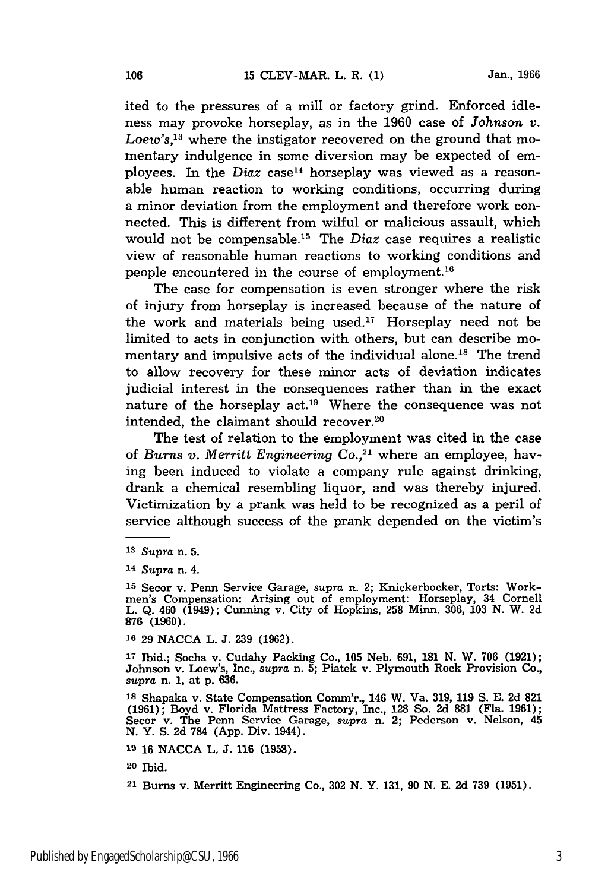ited to the pressures of a mill or factory grind. Enforced idleness may provoke horseplay, as in the 1960 case of *Johnson v. Loew's,13* where the instigator recovered on the ground that momentary indulgence in some diversion may be expected of employees. In the *Diaz* case<sup>14</sup> horseplay was viewed as a reasonable human reaction to working conditions, occurring during a minor deviation from the employment and therefore work connected. This is different from wilful or malicious assault, which would not be compensable.<sup>15</sup> The *Diaz* case requires a realistic view of reasonable human reactions to working conditions and people encountered in the course of employment. <sup>16</sup>

The case for compensation is even stronger where the risk of injury from horseplay is increased because of the nature of the work and materials being used.<sup>17</sup> Horseplay need not be limited to acts in conjunction with others, but can describe momentary and impulsive acts of the individual alone.<sup>18</sup> The trend to allow recovery for these minor acts of deviation indicates judicial interest in the consequences rather than in the exact nature of the horseplay  $act.^{19}$  Where the consequence was not intended, the claimant should recover.<sup>20</sup>

The test of relation to the employment was cited in the case of *Burns v. Merritt Engineering Co.,21* where an employee, having been induced to violate a company rule against drinking, drank a chemical resembling liquor, and was thereby injured. Victimization by a prank was held to be recognized as a peril of service although success of the prank depended on the victim's

**15** Secor v. Penn Service Garage, *supra* n. 2; Knickerbocker, Torts: Workmen's Compensation: Arising out of employment: Horseplay, 34 Cornell L. Q. 460 (1949); Cunning v. City of Hopkins, 258 Minn. 306, 103 N. W. 2d **876 (1960).**

**16 29 NACCA** L. **J. 239 (1962).**

**<sup>17</sup>**Ibid.; Socha v. Cudahy Packing Co., **105** Neb. **691, 181 N.** W. **706 (1921);** Johnson v. Loew's, Inc., *supra* n. **5;** Piatek v. Plymouth Rock Provision Co., *supra* n. **1,** at **p. 636.**

**<sup>18</sup>**Shapaka v. State Compensation Comm'r., 146 W. Va. **319, 119 S. E. 2d 821 (1961);** Boyd v. Florida Mattress Factory, Inc., **128** So. **2d 881** (Fla. **1961);** Secor v. The Penn Service Garage, *supra* n. 2; Pederson v. Nelson, 45 **N.** Y. **S. 2d 784 (App.** Div. 1944).

**19 16** NACCA L. **J. 116 (1958).**

20 Ibid.

21 Burns v. Merritt Engineering Co., 302 **N.** Y. 131, **90** N. E. **2d** 739 **(1951).**

**<sup>13</sup>***Supra* n. **5.**

**<sup>14</sup>***Supra* n. 4.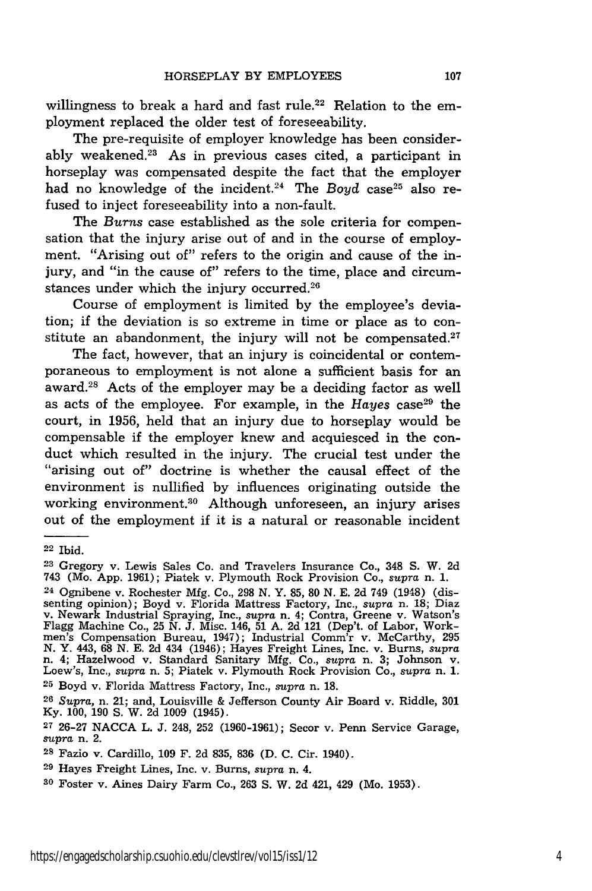willingness to break a hard and fast rule.<sup>22</sup> Relation to the employment replaced the older test of foreseeability.

The pre-requisite of employer knowledge has been considerably weakened.<sup>23</sup> As in previous cases cited, a participant in horseplay was compensated despite the fact that the employer had no knowledge of the incident.<sup>24</sup> The *Boyd* case<sup>25</sup> also refused to inject foreseeability into a non-fault.

The *Burns* case established as the sole criteria for compensation that the injury arise out of and in the course of employment. "Arising out of" refers to the origin and cause of the injury, and "in the cause of" refers to the time, place and circumstances under which the injury occurred.<sup>26</sup>

Course of employment is limited by the employee's deviation; if the deviation is so extreme in time or place as to constitute an abandonment, the injury will not be compensated. $27$ 

The fact, however, that an injury is coincidental or contemporaneous to employment is not alone a sufficient basis for an award.28 Acts of the employer may be a deciding factor as well as acts of the employee. For example, in the *Hayes* case<sup>29</sup> the court, in 1956, held that an injury due to horseplay would be compensable if the employer knew and acquiesced in the conduct which resulted in the injury. The crucial test under the "arising out of" doctrine is whether the causal effect of the environment is nullified by influences originating outside the working environment.<sup>30</sup> Although unforeseen, an injury arises out of the employment if it is a natural or reasonable incident

<sup>22</sup> Ibid.

**<sup>23</sup>**Gregory v. Lewis Sales Co. and Travelers Insurance Co., 348 S. W. 2d 743 (Mo. App. 1961); Piatek v. Plymouth Rock Provision Co., *supra* n. 1.

<sup>24</sup> Ognibene v. Rochester Mfg. Co., 298 N. Y. 85, 80 N. E. 2d 749 (1948) (dissenting opinion); Boyd v. Florida Mattress Factory, Inc., *supra* n. 18; Diaz v. Newark Industrial Spraying, Inc., *supra* n. 4; Contra, Greene v. Watson's Flagg Machine Co., 25 N. J. Misc. 146, 51 A. 2d 121 (Dep't. of Labor, Workmen's Compensation Bureau, 1947); Industrial Comm'r v. McCarthy, 295 N. Y. 443, 68 N. E. 2d 434 (1946); Hayes Freight Lines, Inc. v. Burns, supra<br>n. 4; Hazelwood v. Standard Sanitary Mfg. Co., supra n. 3; Johnson v.<br>Loew's, Inc., supra n. 5; Piatek v. Plymouth Rock Provision Co., supra n. 1 **<sup>25</sup>**Boyd v. Florida Mattress Factory, Inc., *supra* n. 18.

<sup>26</sup>*Supra,* n. 21; and, Louisville & Jefferson County Air Board v. Riddle, **301** Ky. 100, 190 **S.** W. 2d 1009 (1945).

**<sup>27</sup>**26-27 NACCA L. J. 248, 252 (1960-1961); Secor v. Penn Service Garage, *supra* n. 2.

**<sup>28</sup>**Fazio v. Cardillo, **109** F. 2d 835, 836 **(D.** C. Cir. 1940).

**<sup>29</sup>**Hayes Freight Lines, Inc. v. Burns, *supra* n. 4.

**<sup>30</sup>**Foster v. Aines Dairy Farm Co., 263 S. W. 2d 421, 429 (Mo. 1953).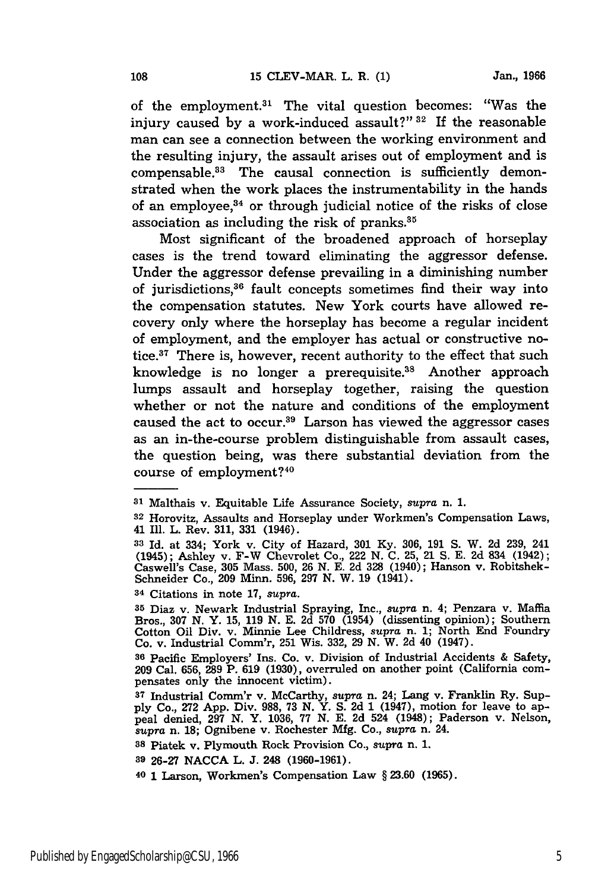of the employment. $31$  The vital question becomes: "Was the injury caused by a work-induced assault?" **32** If the reasonable man can see a connection between the working environment and the resulting injury, the assault arises out of employment and is compensable.<sup>33</sup> The causal connection is sufficiently demonstrated when the work places the instrumentability in the hands of an employee, $34$  or through judicial notice of the risks of close association as including the risk of pranks.<sup>35</sup>

Most significant of the broadened approach of horseplay cases is the trend toward eliminating the aggressor defense. Under the aggressor defense prevailing in a diminishing number of jurisdictions,36 fault concepts sometimes find their way into the compensation statutes. New York courts have allowed recovery only where the horseplay has become a regular incident of employment, and the employer has actual or constructive notice.<sup>37</sup> There is, however, recent authority to the effect that such knowledge is no longer a prerequisite.<sup>38</sup> Another approach lumps assault and horseplay together, raising the question whether or not the nature and conditions of the employment caused the act to occur.<sup>39</sup> Larson has viewed the aggressor cases as an in-the-course problem distinguishable from assault cases, the question being, was there substantial deviation from the course of employment?<sup>40</sup>

**<sup>34</sup>**Citations in note 17, *supra.*

**<sup>35</sup>**Diaz v. Newark Industrial Spraying, Inc., *supra* n. 4; Penzara v. Maffia Bros., 307 **N.** Y. 15, 119 **N.** E. 2d 570 (1954) (dissenting opinion); Southern Cotton Oil Div. v. Minnie Lee Childress, *supra* n. 1; North End Foundry Co. v. Industrial Comm'r, **251** Wis. 332, **29** N. W. 2d 40 (1947).

**<sup>36</sup>**Pacific Employers' Ins. Co. v. Division of Industrial Accidents & Safety, **<sup>209</sup>**Cal. 656, 289 P. 619 (1930), overruled on another point (California com- pensates only the innocent victim).

**<sup>31</sup>**Malthais v. Equitable Life Assurance Society, *supra* n. **1.**

**<sup>32</sup>** Horovitz, Assaults and Horseplay under Workmen's Compensation Laws, 41 Ill. L. Rev. 311, 331 (1946).

**<sup>33</sup>**Id. at 334; York v. City of Hazard, 301 **Ky.** 306, 191 S. W. 2d 239, 241 (1945); Ashley v. F-W Chevrolet Co., 222 N. C. **25,** 21 S. E. 2d 834 (1942); Caswell's Case, 305 Mass. 500, **26** N. E. **2d 328** (1940); Hanson v. Robitshek-Schneider Co., 209 Minn. 596, **297** N. W. 19 (1941).

**<sup>37</sup>** Industrial Comm'r v. McCarthy, *supra* n. 24; Lang v. Franklin Ry. Supply Co., 272 App. Div. 988, **73** N. Y. S. 2d 1 (1947), motion for leave to appeal denied, **297** N. Y. 1036, 77 **N.** E. 2d 524 (1948); Paderson v. Nelson, *supra* n. 18; Ognibene v. Rochester Mfg. Co., *supra* n. 24. **<sup>38</sup>**Piatek v. Plymouth Rock Provision Co., supra n. 1.

**<sup>39 26-27</sup> NACCA** L. **J.** 248 **(1960-1961).**

**<sup>40 1</sup>** Larson, Workmen's Compensation Law **§ 23.60 (1965).**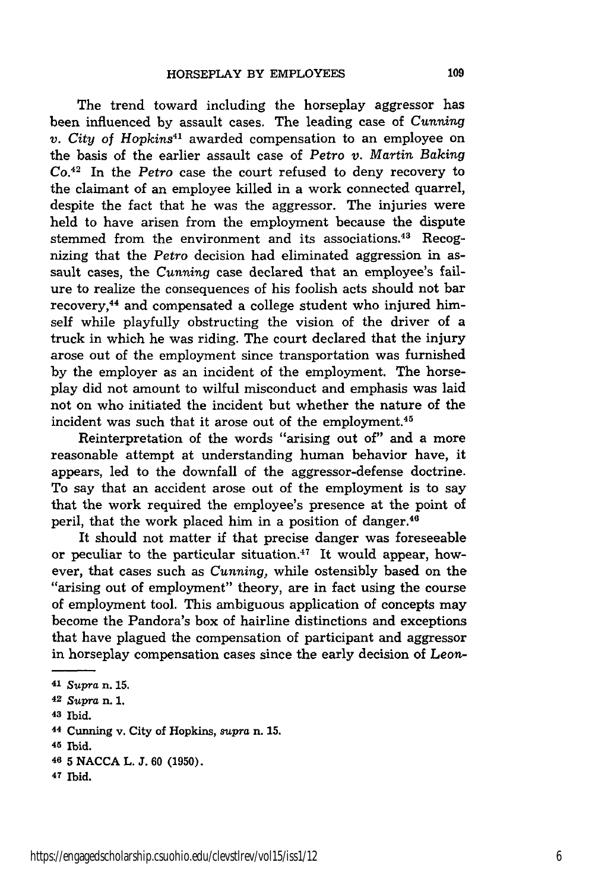The trend toward including the horseplay aggressor has been influenced by assault cases. The leading case of *Cunning v. City of Hopkins41* awarded compensation to an employee on the basis of the earlier assault case of *Petro v. Martin Baking Co.<sup>42</sup>*In the *Petro* case the court refused to deny recovery to the claimant of an employee killed in a work connected quarrel, despite the fact that he was the aggressor. The injuries were held to have arisen from the employment because the dispute stemmed from the environment and its associations.<sup>43</sup> Recognizing that the *Petro* decision had eliminated aggression in assault cases, the *Cunning* case declared that an employee's failure to realize the consequences of his foolish acts should not bar recovery, 44 and compensated a college student who injured himself while playfully obstructing the vision of the driver of a truck in which he was riding. The court declared that the injury arose out of the employment since transportation was furnished by the employer as an incident of the employment. The horseplay did not amount to wilful misconduct and emphasis was laid not on who initiated the incident but whether the nature of the incident was such that it arose out of the employment.<sup>45</sup>

Reinterpretation of the words "arising out of" and a more reasonable attempt at understanding human behavior have, it appears, led to the downfall of the aggressor-defense doctrine. To say that an accident arose out of the employment is to say that the work required the employee's presence at the point of peril, that the work placed him in a position of danger.<sup>46</sup>

It should not matter if that precise danger was foreseeable or peculiar to the particular situation.<sup> $47$ </sup> It would appear, however, that cases such as *Cunning,* while ostensibly based on the "arising out of employment" theory, are in fact using the course of employment tool. This ambiguous application of concepts may become the Pandora's box of hairline distinctions and exceptions that have plagued the compensation of participant and aggressor in horseplay compensation cases since the early decision of *Leon-*

**43** Ibid.

**47** Ibid.

<sup>41</sup>*Supra* n. 15.

**<sup>42</sup>** Supra n. **1.**

**<sup>44</sup>**Cunning v. City of Hopkins, *supra* n. **15.**

**<sup>45</sup> Ibid.**

**<sup>46 5</sup> NACCA** L. **J. 60 (1950).**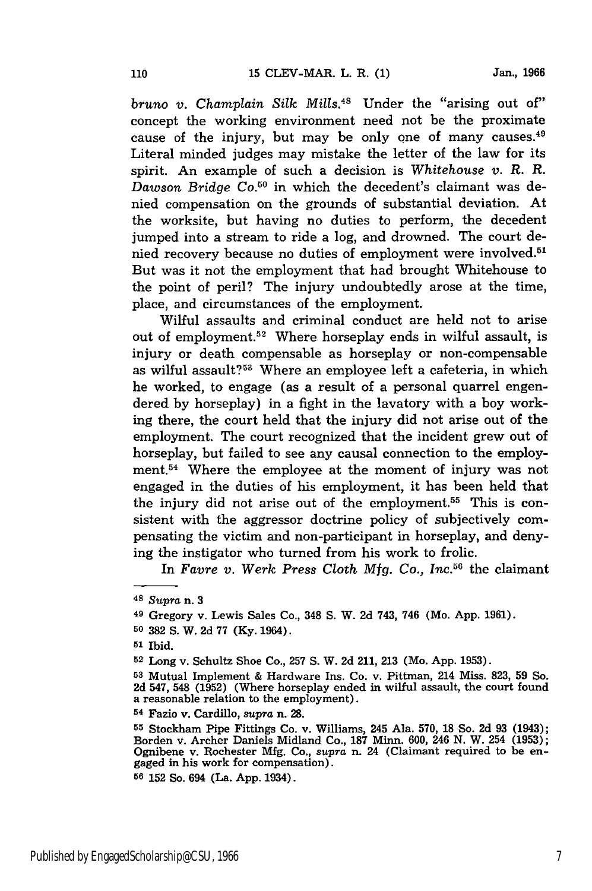*bruno v. Champlain Silk Mills.48* Under the "arising out of" concept the working environment need not be the proximate cause of the injury, but may be only one of many causes. $49$ Literal minded judges may mistake the letter of the law for its spirit. An example of such a decision is Whitehouse *v. R. R. Dawson Bridge* Co. 50 in which the decedent's claimant was denied compensation on the grounds of substantial deviation. At the worksite, but having no duties to perform, the decedent jumped into a stream to ride a log, and drowned. The court denied recovery because no duties of employment were involved.51 But was it not the employment that had brought Whitehouse to the point of peril? The injury undoubtedly arose at the time, place, and circumstances of the employment.

Wilful assaults and criminal conduct are held not to arise out of employment.<sup>52</sup> Where horseplay ends in wilful assault, is injury or death compensable as horseplay or non-compensable as wilful assault?<sup>53</sup> Where an employee left a cafeteria, in which he worked, to engage (as a result of a personal quarrel engendered by horseplay) in a fight in the lavatory with a boy working there, the court held that the injury did not arise out of the employment. The court recognized that the incident grew out of horseplay, but failed to see any causal connection to the employment.54 Where the employee at the moment of injury was not engaged in the duties of his employment, it has been held that the injury did not arise out of the employment.<sup>55</sup> This is consistent with the aggressor doctrine policy of subjectively compensating the victim and non-participant in horseplay, and denying the instigator who turned from his work to frolic.

In *Favre v. Werk Press Cloth Mfg. Co., Inc.56* the claimant

**50 382 S.** W. **2d 77 (Ky.** 1964).

**<sup>52</sup>**Long v. Schultz Shoe Co., **257 S.** W. **2d** 211, **213** (Mo. **App. 1953).**

**<sup>53</sup>**Mutual Implement & Hardware Ins. Co. v. Pittman, 214 Miss. **823, 59** So. **2d** 547, 548 **(1952)** (Where horseplay ended in wilful assault, the court found a reasonable relation to the employment).

**<sup>54</sup>**Fazio v. Cardillo, *supra* n. **28.**

**<sup>55</sup>**Stockham Pipe Fittings Co. v. Williams, 245 Ala. **570, 18** So. **2d 93** (1943); Borden v. Archer Daniels Midland Co., **187** Minn. **600,** 246 **N.** W. 254 **(1953);** Ognibene v. Rochester **Mfg.** Co., supra n. 24 (Claimant required to be en- gaged in his work for compensation).

**56 152** So. 694 (La. **App.** 1934).

**<sup>48</sup>***Supra* n. **3**

**<sup>49</sup>**Gregory v. Lewis Sales Co., 348 **S.** W. **2d** 743, 746 (Mo. **App. 1961).**

**<sup>51</sup> Ibid.**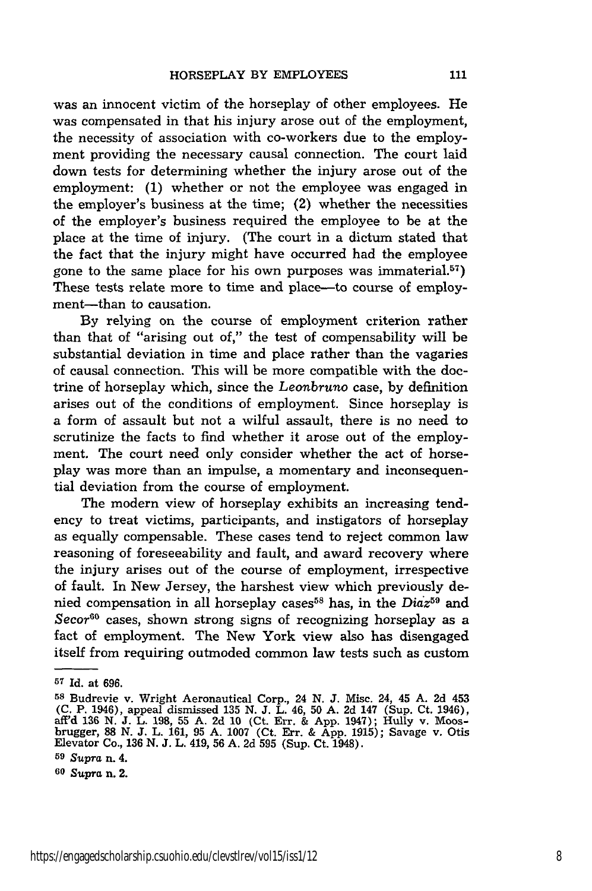was an innocent victim of the horseplay of other employees. He was compensated in that his injury arose out of the employment, the necessity of association with co-workers due to the employment providing the necessary causal connection. The court laid down tests for determining whether the injury arose out of the employment: (1) whether or not the employee was engaged in the employer's business at the time; (2) whether the necessities of the employer's business required the employee to be at the place at the time of injury. (The court in a dictum stated that the fact that the injury might have occurred had the employee gone to the same place for his own purposes was immaterial.<sup>57</sup>) These tests relate more to time and place—to course of employment-than to causation.

By relying on the course of employment criterion rather than that of "arising out of," the test of compensability will be substantial deviation in time and place rather than the vagaries of causal connection. This will be more compatible with the doctrine of horseplay which, since the *Leonbruno* case, by definition arises out of the conditions of employment. Since horseplay is a form of assault but not a wilful assault, there is no need to scrutinize the facts to find whether it arose out of the employment. The court need only consider whether the act of horseplay was more than an impulse, a momentary and inconsequential deviation from the course of employment.

The modern view of horseplay exhibits an increasing tendency to treat victims, participants, and instigators of horseplay as equally compensable. These cases tend to reject common law reasoning of foreseeability and fault, and award recovery where the injury arises out of the course of employment, irrespective of fault. In New Jersey, the harshest view which previously denied compensation in all horseplay cases<sup>58</sup> has, in the *Diaz*<sup>59</sup> and *Secor*<sup>60</sup> cases, shown strong signs of recognizing horseplay as a fact of employment. The New York view also has disengaged itself from requiring outmoded common law tests such as custom

**<sup>57</sup>Id.** at **696.**

**<sup>58</sup>**Budrevie v. Wright Aeronautical Corp., 24 N. J. Misc. 24, 45 A. 2d 453 (C. P. 1946), appeal dismissed 135 N. J. L. 46, 50 A. 2d 147 (Sup. Ct. 1946), aff'd 136 N. J. L. 198, 55 A. 2d **10** (Ct. Err. & App. 1947); Hully v. Moosbrugger, 88 N. J. L. 161, 95 A. 1007 (Ct. Err. & App. 1915); Savage v. Otis Elevator Co., 136 N. J. L. 419, 56 A. 2d 595 (Sup. Ct. 1948).

**<sup>59</sup>***Supra* n. 4.

**<sup>60</sup>***Supra n.* 2.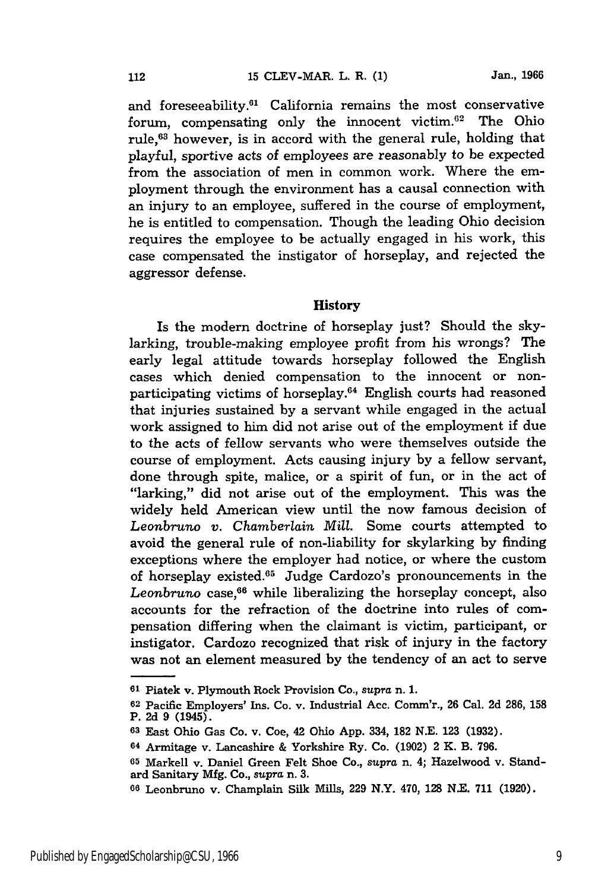and foreseeability.<sup>61</sup> California remains the most conservative forum, compensating only the innocent victim.62 The Ohio rule,<sup>63</sup> however, is in accord with the general rule, holding that playful, sportive acts of employees are reasonably to be expected from the association of men in common work. Where the employment through the environment has a causal connection with an injury to an employee, suffered in the course of employment, he is entitled to compensation. Though the leading Ohio decision requires the employee to be actually engaged in his work, this case compensated the instigator of horseplay, and rejected the aggressor defense.

### **History**

Is the modern doctrine of horseplay just? Should the skylarking, trouble-making employee profit from his wrongs? The early legal attitude towards horseplay followed the English cases which denied compensation to the innocent or nonparticipating victims of horseplay.<sup>64</sup> English courts had reasoned that injuries sustained by a servant while engaged in the actual work assigned to him did not arise out of the employment if due to the acts of fellow servants who were themselves outside the course of employment. Acts causing injury **by** a fellow servant, done through spite, malice, or a spirit of fun, or in the act of "larking," did not arise out of the employment. This was the widely held American view until the now famous decision of *Leonbruno v. Chamberlain Mill.* Some courts attempted to avoid the general rule of non-liability for skylarking by finding exceptions where the employer had notice, or where the custom of horseplay existed.<sup>65</sup> Judge Cardozo's pronouncements in the Leonbruno case,<sup>66</sup> while liberalizing the horseplay concept, also accounts for the refraction of the doctrine into rules of compensation differing when the claimant is victim, participant, or instigator. Cardozo recognized that risk of injury in the factory was not an element measured by the tendency of an act to serve

**<sup>61</sup>**Piatek v. Plymouth Rock Provision Co., *supra* n. **1.**

**<sup>62</sup>**Pacific Employers' Ins. Co. v. Industrial Acc. Comm'r., **26** Cal. **2d** 286, **158** P. **2d 9** (1945).

**<sup>63</sup>**East Ohio Gas Co. v. Coe, 42 Ohio App. 334, 182 N.E. 123 (1932).

**<sup>64</sup>**Armitage v. Lancashire & Yorkshire Ry. Co. (1902) 2 K. B. 796.

**<sup>65</sup>** Markell v. Daniel Green Felt Shoe Co., supra n. 4; Hazelwood v. Standard Sanitary **Mfg.** Co., *supra* n. **3.**

**<sup>66</sup>**Leonbruno v. Champlain Silk Mills, 229 N.Y. 470, **128** N.E. **711 (1920).**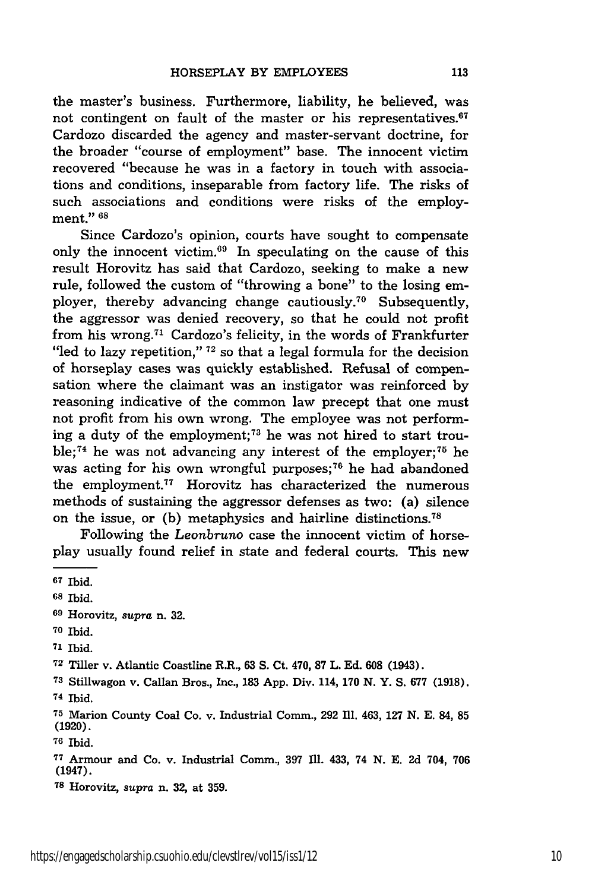the master's business. Furthermore, liability, he believed, was not contingent on fault of the master or his representatives. $67$ Cardozo discarded the agency and master-servant doctrine, for the broader "course of employment" base. The innocent victim recovered "because he was in a factory in touch with associations and conditions, inseparable from factory life. The risks of such associations and conditions were risks of the employment." **<sup>68</sup>**

Since Cardozo's opinion, courts have sought to compensate only the innocent victim.69 In speculating on the cause of this result Horovitz has said that Cardozo, seeking to make a new rule, followed the custom of "throwing a bone" to the losing employer, thereby advancing change cautiously.<sup>70</sup> Subsequently, the aggressor was denied recovery, so that he could not profit from his wrong.71 Cardozo's felicity, in the words of Frankfurter "led to lazy repetition," **72** so that a legal formula for the decision of horseplay cases was quickly established. Refusal of compensation where the claimant was an instigator was reinforced by reasoning indicative of the common law precept that one must not profit from his own wrong. The employee was not performing a duty of the employment; 73 he was not hired to start trouble;<sup>74</sup> he was not advancing any interest of the employer;<sup>75</sup> he was acting for his own wrongful purposes;<sup>76</sup> he had abandoned the employment.<sup>77</sup> Horovitz has characterized the numerous methods of sustaining the aggressor defenses as two: (a) silence on the issue, or (b) metaphysics and hairline distinctions.<sup>78</sup>

Following the *Leonbruno* case the innocent victim of horseplay usually found relief in state and federal courts. This new

- **<sup>70</sup>**Ibid.
- **<sup>71</sup>**Ibid.

**<sup>76</sup>**Ibid.

**<sup>67</sup>** Ibid.

**<sup>68</sup>** Ibid.

**<sup>69</sup>**Horovitz, supra n. 32.

**<sup>72</sup>**Tiller v. Atlantic Coastline R.R., **63 S.** Ct. 470, **87** L. Ed. **608** (1943).

**<sup>73</sup>**Stillwagon v. Callan Bros., Inc., **183** App. Div. 114, **170 N.** Y. **S.** 677 (1918). **74** Ibid.

**<sup>75</sup>**Marion County Coal Co. v. Industrial Comm., 292 Ill. 463, 127 N. E. 84, **85 (1920).**

**<sup>7</sup>**Armour and Co. v. Industrial Comm., **397 fll.** 433, 74 **N. E. 2d** 704, 706 (1947).

**<sup>78</sup>**Horovitz, *supra* n. **32,** at **359.**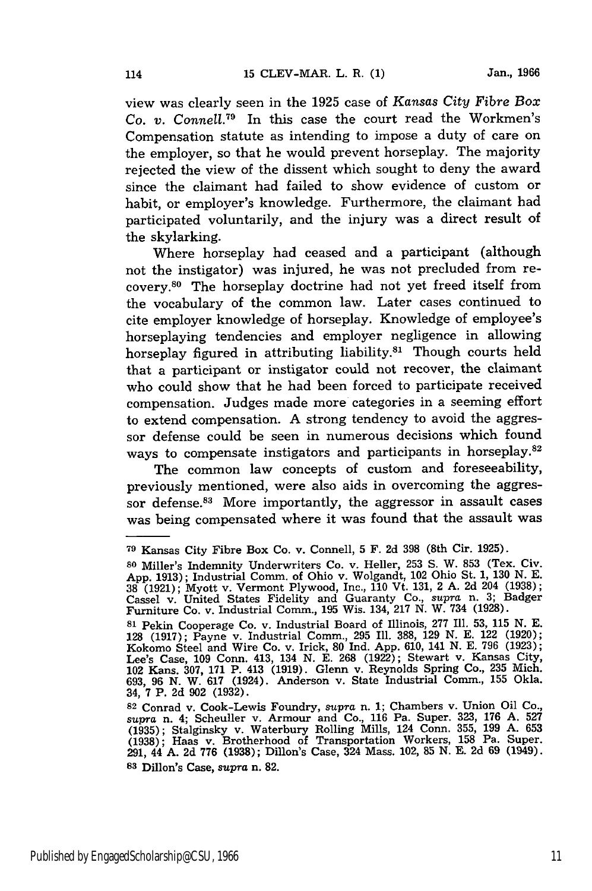view was clearly seen in the 1925 case of *Kansas City Fibre Box Co. v. Conne11. <sup>79</sup>*In this case the court read the Workmen's Compensation statute as intending to impose a duty of care on the employer, so that he would prevent horseplay. The majority rejected the view of the dissent which sought to deny the award since the claimant had failed to show evidence of custom or habit, or employer's knowledge. Furthermore, the claimant had participated voluntarily, and the injury was a direct result of the skylarking.

Where horseplay had ceased and a participant (although not the instigator) was injured, he was not precluded from recovery.<sup>80</sup> The horseplay doctrine had not yet freed itself from the vocabulary of the common law. Later cases continued to cite employer knowledge of horseplay. Knowledge of employee's horseplaying tendencies and employer negligence in allowing horseplay figured in attributing liability.<sup>81</sup> Though courts held that a participant or instigator could not recover, the claimant who could show that he had been forced to participate received compensation. Judges made more categories in a seeming effort to extend compensation. A strong tendency to avoid the aggressor defense could be seen in numerous decisions which found ways to compensate instigators and participants in horseplay.<sup>82</sup>

The common law concepts of custom and foreseeability, previously mentioned, were also aids in overcoming the aggressor defense.<sup>83</sup> More importantly, the aggressor in assault cases was being compensated where it was found that the assault was

**<sup>79</sup>**Kansas City Fibre Box Co. v. Connell, 5 F. 2d 398 (8th Cir. 1925).

**<sup>80</sup>** Miller's Independent Underwritten Co. v. Heller, **253 S. W. 853 (Tex. Civ.** Civ. 253 **S.** 200 **(Tex. Civ.** 253 **S.** 200 **(Tex. Civ.** App. 1913); Industrial Comm. of Ohio v. Wolgandt, 102 Ohio St. 1, 130 N. E. <sup>2</sup>4 (1921); Myott v. Vermont Plywood, Inc., 110 Vt. 131, 2 A. 2d 204 (1938)<br>Cassel v. United States Fidelity and Guaranty Co., *supra* n. 3; Badge:<br>Furniture Co. v. Industrial Comm., 195 Wis. 134, 217 N. W. 734 (1928).

**<sup>81</sup>**Pekin Cooperage Co. v. Industrial Board of Illinois, 277 Ill. 53, 115 **N. E. 128** (1917); Payne v. Industrial Comm., 295 Ill. **388,** 129 N. E. 122 (1920); Kokomo Steel and Wire Co. v. Irick, 80 Ind. App. 610, 141 N. E. 796 (1923); Lee's Case, 109 Conn. 413, 134 N. E. **268** (1922); Stewart v. Kansas City, 102 Kans. 307, 171 P. 413 (1919). Glenn v. Reynolds Spring Co., 235 Mich. 693, **96 N.** W. 617 (1924). Anderson v. State Industrial Comm., 155 Okla. 34, **7** P. **2d 902 (1932).**

**<sup>82</sup>**Conrad v. Cook-Lewis Foundry, *supra* n. 1; Chambers v. Union Oil Co., *supra* n. 4; Scheuller v. Armour and Co., 116 Pa. Super. 323, 176 A. 527 (1935); Stalginsky v. Waterbury Rolling Mills, 124 Conn. 355, 199 A. 653<br>(1938); Haas v. Brotherhood of Transportation Workers, 158 Pa. Super<br>291, 44 A. 2d 776 (1938); Dillon's Case, 324 Mass. 102, 85 N. E. 2d 69 (1949) **<sup>83</sup>**Dillon's Case, *supra* n. **82.**